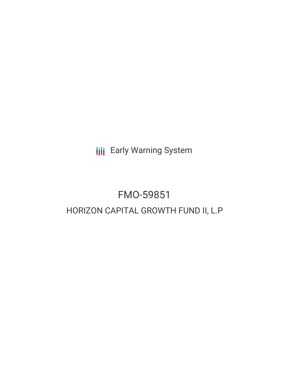**III** Early Warning System

# FMO-59851 HORIZON CAPITAL GROWTH FUND II, L.P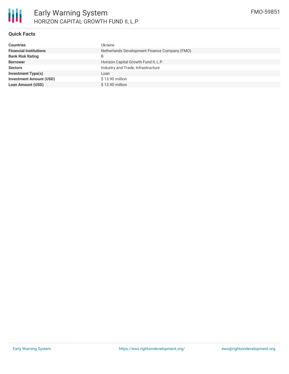## **Quick Facts**

| <b>Countries</b>               | Ukraine                                       |
|--------------------------------|-----------------------------------------------|
| <b>Financial Institutions</b>  | Netherlands Development Finance Company (FMO) |
| <b>Bank Risk Rating</b>        | B                                             |
| <b>Borrower</b>                | Horizon Capital Growth Fund II, L.P.          |
| <b>Sectors</b>                 | Industry and Trade, Infrastructure            |
| <b>Investment Type(s)</b>      | Loan                                          |
| <b>Investment Amount (USD)</b> | \$13.90 million                               |
| <b>Loan Amount (USD)</b>       | $$13.90$ million                              |
|                                |                                               |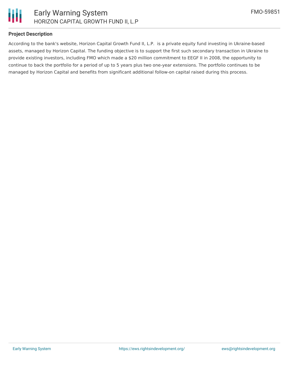

#### **Project Description**

According to the bank's website, Horizon Capital Growth Fund II, L.P. is a private equity fund investing in Ukraine-based assets, managed by Horizon Capital. The funding objective is to support the first such secondary transaction in Ukraine to provide existing investors, including FMO which made a \$20 million commitment to EEGF II in 2008, the opportunity to continue to back the portfolio for a period of up to 5 years plus two one-year extensions. The portfolio continues to be managed by Horizon Capital and benefits from significant additional follow-on capital raised during this process.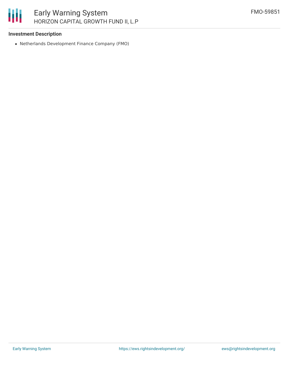### **Investment Description**

Netherlands Development Finance Company (FMO)